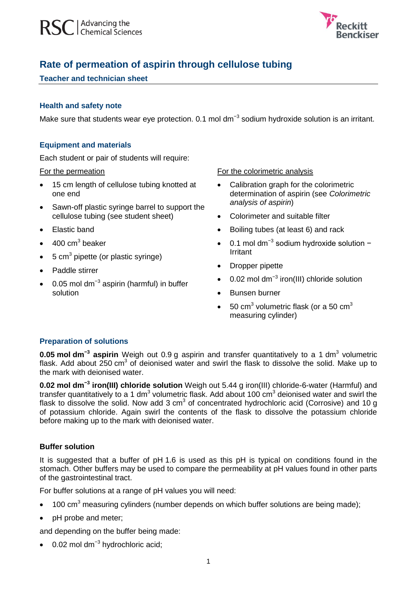

# **Rate of permeation of aspirin through cellulose tubing**

# **Teacher and technician sheet**

# **Health and safety note**

Make sure that students wear eye protection. 0.1 mol dm<sup>-3</sup> sodium hydroxide solution is an irritant.

# **Equipment and materials**

Each student or pair of students will require:

#### For the permeation

- 15 cm length of cellulose tubing knotted at one end
- Sawn-off plastic syringe barrel to support the cellulose tubing (see student sheet)
- Elastic band
- $\bullet$  400 cm<sup>3</sup> beaker
- $\bullet$  5 cm<sup>3</sup> pipette (or plastic syringe)
- Paddle stirrer
- 0.05 mol dm<sup>-3</sup> aspirin (harmful) in buffer solution

#### For the colorimetric analysis

- Calibration graph for the colorimetric determination of aspirin (see *Colorimetric analysis of aspirin*)
- Colorimeter and suitable filter
- Boiling tubes (at least 6) and rack
- 0.1 mol dm<sup>-3</sup> sodium hydroxide solution − Irritant
- Dropper pipette
- 0.02 mol dm<sup>-3</sup> iron(III) chloride solution
- Bunsen burner
- 50 cm<sup>3</sup> volumetric flask (or a 50 cm<sup>3</sup> measuring cylinder)

# **Preparation of solutions**

**0.05 mol dm<sup>-3</sup> aspirin** Weigh out 0.9 g aspirin and transfer quantitatively to a 1 dm<sup>3</sup> volumetric flask. Add about 250  $\text{cm}^3$  of deionised water and swirl the flask to dissolve the solid. Make up to the mark with deionised water.

**0.02 mol dm−3 iron(III) chloride solution** Weigh out 5.44 g iron(III) chloride-6-water (Harmful) and transfer quantitatively to a 1 dm<sup>3</sup> volumetric flask. Add about 100 cm<sup>3</sup> deionised water and swirl the flask to dissolve the solid. Now add 3 cm<sup>3</sup> of concentrated hydrochloric acid (Corrosive) and 10 g of potassium chloride. Again swirl the contents of the flask to dissolve the potassium chloride before making up to the mark with deionised water.

# **Buffer solution**

It is suggested that a buffer of pH 1.6 is used as this pH is typical on conditions found in the stomach. Other buffers may be used to compare the permeability at pH values found in other parts of the gastrointestinal tract.

For buffer solutions at a range of pH values you will need:

- $\bullet$  100 cm<sup>3</sup> measuring cylinders (number depends on which buffer solutions are being made);
- pH probe and meter;

and depending on the buffer being made:

• 0.02 mol dm<sup>-3</sup> hydrochloric acid;